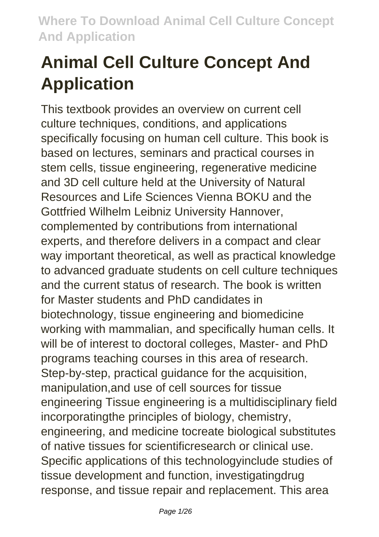# **Animal Cell Culture Concept And Application**

This textbook provides an overview on current cell culture techniques, conditions, and applications specifically focusing on human cell culture. This book is based on lectures, seminars and practical courses in stem cells, tissue engineering, regenerative medicine and 3D cell culture held at the University of Natural Resources and Life Sciences Vienna BOKU and the Gottfried Wilhelm Leibniz University Hannover, complemented by contributions from international experts, and therefore delivers in a compact and clear way important theoretical, as well as practical knowledge to advanced graduate students on cell culture techniques and the current status of research. The book is written for Master students and PhD candidates in biotechnology, tissue engineering and biomedicine working with mammalian, and specifically human cells. It will be of interest to doctoral colleges, Master- and PhD programs teaching courses in this area of research. Step-by-step, practical guidance for the acquisition, manipulation,and use of cell sources for tissue engineering Tissue engineering is a multidisciplinary field incorporatingthe principles of biology, chemistry, engineering, and medicine tocreate biological substitutes of native tissues for scientificresearch or clinical use. Specific applications of this technologyinclude studies of tissue development and function, investigatingdrug response, and tissue repair and replacement. This area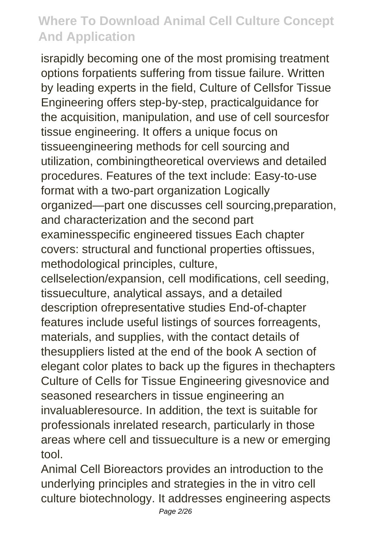israpidly becoming one of the most promising treatment options forpatients suffering from tissue failure. Written by leading experts in the field, Culture of Cellsfor Tissue Engineering offers step-by-step, practicalguidance for the acquisition, manipulation, and use of cell sourcesfor tissue engineering. It offers a unique focus on tissueengineering methods for cell sourcing and utilization, combiningtheoretical overviews and detailed procedures. Features of the text include: Easy-to-use format with a two-part organization Logically organized—part one discusses cell sourcing,preparation, and characterization and the second part examinesspecific engineered tissues Each chapter covers: structural and functional properties oftissues, methodological principles, culture,

cellselection/expansion, cell modifications, cell seeding, tissueculture, analytical assays, and a detailed description ofrepresentative studies End-of-chapter features include useful listings of sources forreagents, materials, and supplies, with the contact details of thesuppliers listed at the end of the book A section of elegant color plates to back up the figures in thechapters Culture of Cells for Tissue Engineering givesnovice and seasoned researchers in tissue engineering an invaluableresource. In addition, the text is suitable for professionals inrelated research, particularly in those areas where cell and tissueculture is a new or emerging tool.

Animal Cell Bioreactors provides an introduction to the underlying principles and strategies in the in vitro cell culture biotechnology. It addresses engineering aspects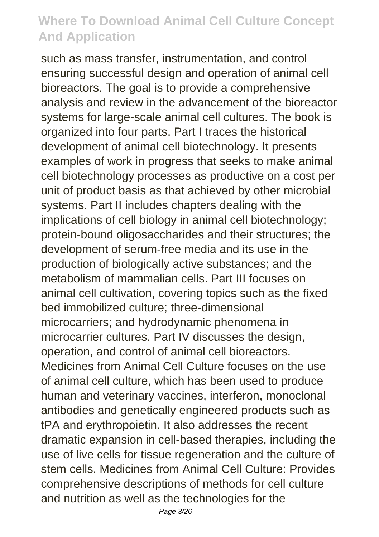such as mass transfer, instrumentation, and control ensuring successful design and operation of animal cell bioreactors. The goal is to provide a comprehensive analysis and review in the advancement of the bioreactor systems for large-scale animal cell cultures. The book is organized into four parts. Part I traces the historical development of animal cell biotechnology. It presents examples of work in progress that seeks to make animal cell biotechnology processes as productive on a cost per unit of product basis as that achieved by other microbial systems. Part II includes chapters dealing with the implications of cell biology in animal cell biotechnology; protein-bound oligosaccharides and their structures; the development of serum-free media and its use in the production of biologically active substances; and the metabolism of mammalian cells. Part III focuses on animal cell cultivation, covering topics such as the fixed bed immobilized culture; three-dimensional microcarriers; and hydrodynamic phenomena in microcarrier cultures. Part IV discusses the design, operation, and control of animal cell bioreactors. Medicines from Animal Cell Culture focuses on the use of animal cell culture, which has been used to produce human and veterinary vaccines, interferon, monoclonal antibodies and genetically engineered products such as tPA and erythropoietin. It also addresses the recent dramatic expansion in cell-based therapies, including the use of live cells for tissue regeneration and the culture of stem cells. Medicines from Animal Cell Culture: Provides comprehensive descriptions of methods for cell culture and nutrition as well as the technologies for the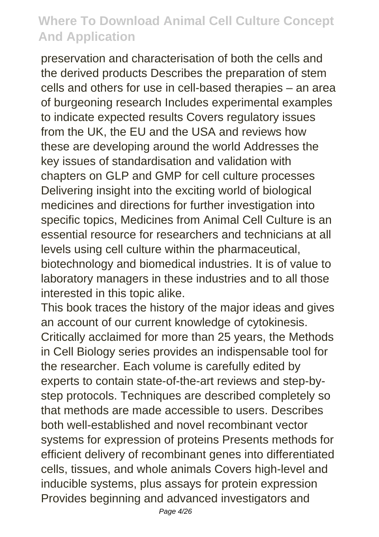preservation and characterisation of both the cells and the derived products Describes the preparation of stem cells and others for use in cell-based therapies – an area of burgeoning research Includes experimental examples to indicate expected results Covers regulatory issues from the UK, the EU and the USA and reviews how these are developing around the world Addresses the key issues of standardisation and validation with chapters on GLP and GMP for cell culture processes Delivering insight into the exciting world of biological medicines and directions for further investigation into specific topics, Medicines from Animal Cell Culture is an essential resource for researchers and technicians at all levels using cell culture within the pharmaceutical, biotechnology and biomedical industries. It is of value to laboratory managers in these industries and to all those interested in this topic alike.

This book traces the history of the major ideas and gives an account of our current knowledge of cytokinesis. Critically acclaimed for more than 25 years, the Methods in Cell Biology series provides an indispensable tool for the researcher. Each volume is carefully edited by experts to contain state-of-the-art reviews and step-bystep protocols. Techniques are described completely so that methods are made accessible to users. Describes both well-established and novel recombinant vector systems for expression of proteins Presents methods for efficient delivery of recombinant genes into differentiated cells, tissues, and whole animals Covers high-level and inducible systems, plus assays for protein expression Provides beginning and advanced investigators and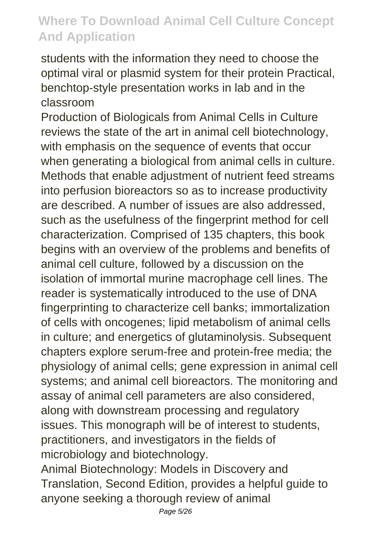students with the information they need to choose the optimal viral or plasmid system for their protein Practical, benchtop-style presentation works in lab and in the classroom

Production of Biologicals from Animal Cells in Culture reviews the state of the art in animal cell biotechnology, with emphasis on the sequence of events that occur when generating a biological from animal cells in culture. Methods that enable adjustment of nutrient feed streams into perfusion bioreactors so as to increase productivity are described. A number of issues are also addressed, such as the usefulness of the fingerprint method for cell characterization. Comprised of 135 chapters, this book begins with an overview of the problems and benefits of animal cell culture, followed by a discussion on the isolation of immortal murine macrophage cell lines. The reader is systematically introduced to the use of DNA fingerprinting to characterize cell banks; immortalization of cells with oncogenes; lipid metabolism of animal cells in culture; and energetics of glutaminolysis. Subsequent chapters explore serum-free and protein-free media; the physiology of animal cells; gene expression in animal cell systems; and animal cell bioreactors. The monitoring and assay of animal cell parameters are also considered, along with downstream processing and regulatory issues. This monograph will be of interest to students, practitioners, and investigators in the fields of microbiology and biotechnology.

Animal Biotechnology: Models in Discovery and Translation, Second Edition, provides a helpful guide to anyone seeking a thorough review of animal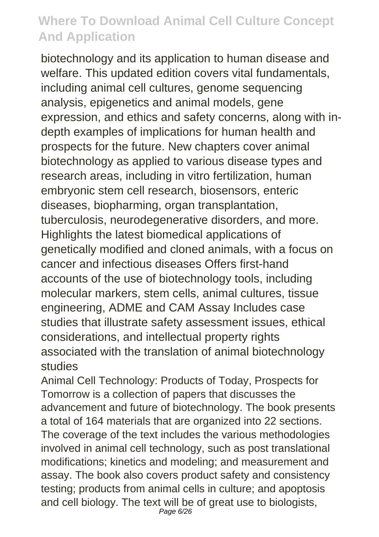biotechnology and its application to human disease and welfare. This updated edition covers vital fundamentals, including animal cell cultures, genome sequencing analysis, epigenetics and animal models, gene expression, and ethics and safety concerns, along with indepth examples of implications for human health and prospects for the future. New chapters cover animal biotechnology as applied to various disease types and research areas, including in vitro fertilization, human embryonic stem cell research, biosensors, enteric diseases, biopharming, organ transplantation, tuberculosis, neurodegenerative disorders, and more. Highlights the latest biomedical applications of genetically modified and cloned animals, with a focus on cancer and infectious diseases Offers first-hand accounts of the use of biotechnology tools, including molecular markers, stem cells, animal cultures, tissue engineering, ADME and CAM Assay Includes case studies that illustrate safety assessment issues, ethical considerations, and intellectual property rights associated with the translation of animal biotechnology studies

Animal Cell Technology: Products of Today, Prospects for Tomorrow is a collection of papers that discusses the advancement and future of biotechnology. The book presents a total of 164 materials that are organized into 22 sections. The coverage of the text includes the various methodologies involved in animal cell technology, such as post translational modifications; kinetics and modeling; and measurement and assay. The book also covers product safety and consistency testing; products from animal cells in culture; and apoptosis and cell biology. The text will be of great use to biologists, Page 6/26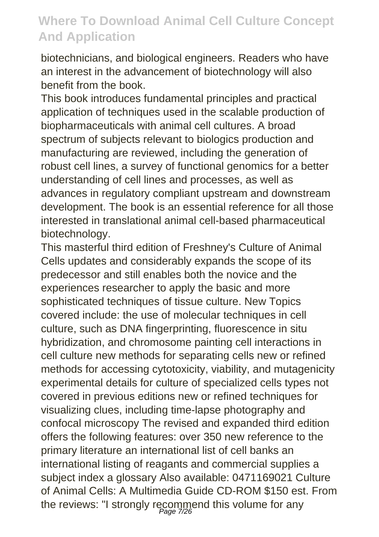biotechnicians, and biological engineers. Readers who have an interest in the advancement of biotechnology will also benefit from the book.

This book introduces fundamental principles and practical application of techniques used in the scalable production of biopharmaceuticals with animal cell cultures. A broad spectrum of subjects relevant to biologics production and manufacturing are reviewed, including the generation of robust cell lines, a survey of functional genomics for a better understanding of cell lines and processes, as well as advances in regulatory compliant upstream and downstream development. The book is an essential reference for all those interested in translational animal cell-based pharmaceutical biotechnology.

This masterful third edition of Freshney's Culture of Animal Cells updates and considerably expands the scope of its predecessor and still enables both the novice and the experiences researcher to apply the basic and more sophisticated techniques of tissue culture. New Topics covered include: the use of molecular techniques in cell culture, such as DNA fingerprinting, fluorescence in situ hybridization, and chromosome painting cell interactions in cell culture new methods for separating cells new or refined methods for accessing cytotoxicity, viability, and mutagenicity experimental details for culture of specialized cells types not covered in previous editions new or refined techniques for visualizing clues, including time-lapse photography and confocal microscopy The revised and expanded third edition offers the following features: over 350 new reference to the primary literature an international list of cell banks an international listing of reagants and commercial supplies a subject index a glossary Also available: 0471169021 Culture of Animal Cells: A Multimedia Guide CD-ROM \$150 est. From the reviews: "I strongly recommend this volume for any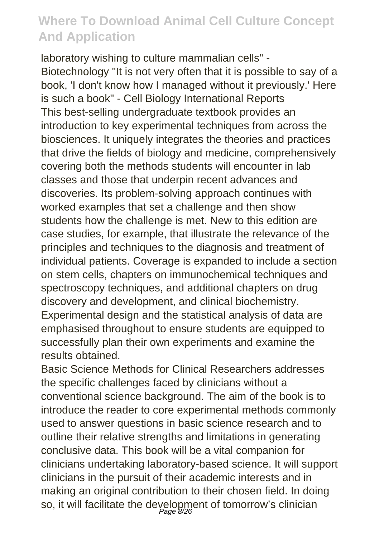laboratory wishing to culture mammalian cells" - Biotechnology "It is not very often that it is possible to say of a book, 'I don't know how I managed without it previously.' Here is such a book" - Cell Biology International Reports This best-selling undergraduate textbook provides an introduction to key experimental techniques from across the biosciences. It uniquely integrates the theories and practices that drive the fields of biology and medicine, comprehensively covering both the methods students will encounter in lab classes and those that underpin recent advances and discoveries. Its problem-solving approach continues with worked examples that set a challenge and then show students how the challenge is met. New to this edition are case studies, for example, that illustrate the relevance of the principles and techniques to the diagnosis and treatment of individual patients. Coverage is expanded to include a section on stem cells, chapters on immunochemical techniques and spectroscopy techniques, and additional chapters on drug discovery and development, and clinical biochemistry. Experimental design and the statistical analysis of data are emphasised throughout to ensure students are equipped to successfully plan their own experiments and examine the results obtained.

Basic Science Methods for Clinical Researchers addresses the specific challenges faced by clinicians without a conventional science background. The aim of the book is to introduce the reader to core experimental methods commonly used to answer questions in basic science research and to outline their relative strengths and limitations in generating conclusive data. This book will be a vital companion for clinicians undertaking laboratory-based science. It will support clinicians in the pursuit of their academic interests and in making an original contribution to their chosen field. In doing so, it will facilitate the deyelopment of tomorrow's clinician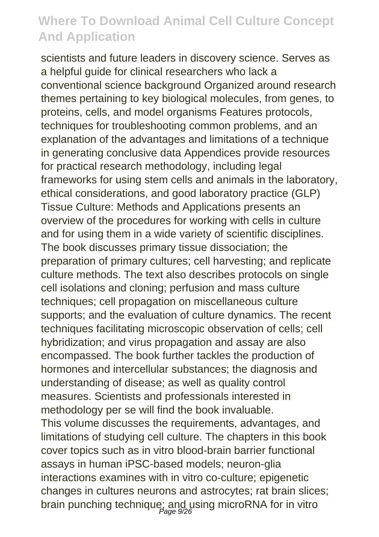scientists and future leaders in discovery science. Serves as a helpful guide for clinical researchers who lack a conventional science background Organized around research themes pertaining to key biological molecules, from genes, to proteins, cells, and model organisms Features protocols, techniques for troubleshooting common problems, and an explanation of the advantages and limitations of a technique in generating conclusive data Appendices provide resources for practical research methodology, including legal frameworks for using stem cells and animals in the laboratory, ethical considerations, and good laboratory practice (GLP) Tissue Culture: Methods and Applications presents an overview of the procedures for working with cells in culture and for using them in a wide variety of scientific disciplines. The book discusses primary tissue dissociation; the preparation of primary cultures; cell harvesting; and replicate culture methods. The text also describes protocols on single cell isolations and cloning; perfusion and mass culture techniques; cell propagation on miscellaneous culture supports; and the evaluation of culture dynamics. The recent techniques facilitating microscopic observation of cells; cell hybridization; and virus propagation and assay are also encompassed. The book further tackles the production of hormones and intercellular substances; the diagnosis and understanding of disease; as well as quality control measures. Scientists and professionals interested in methodology per se will find the book invaluable. This volume discusses the requirements, advantages, and limitations of studying cell culture. The chapters in this book cover topics such as in vitro blood-brain barrier functional assays in human iPSC-based models; neuron-glia interactions examines with in vitro co-culture; epigenetic changes in cultures neurons and astrocytes; rat brain slices; brain punching technique; and using microRNA for in vitro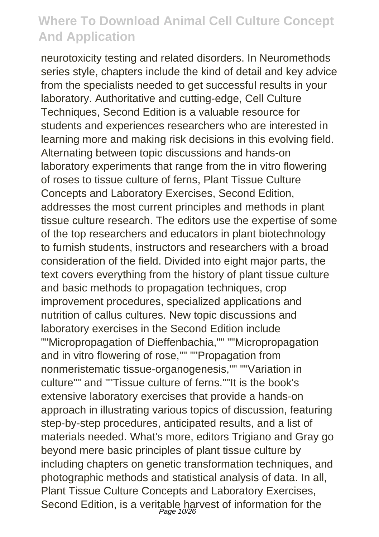neurotoxicity testing and related disorders. In Neuromethods series style, chapters include the kind of detail and key advice from the specialists needed to get successful results in your laboratory. Authoritative and cutting-edge, Cell Culture Techniques, Second Edition is a valuable resource for students and experiences researchers who are interested in learning more and making risk decisions in this evolving field. Alternating between topic discussions and hands-on laboratory experiments that range from the in vitro flowering of roses to tissue culture of ferns, Plant Tissue Culture Concepts and Laboratory Exercises, Second Edition, addresses the most current principles and methods in plant tissue culture research. The editors use the expertise of some of the top researchers and educators in plant biotechnology to furnish students, instructors and researchers with a broad consideration of the field. Divided into eight major parts, the text covers everything from the history of plant tissue culture and basic methods to propagation techniques, crop improvement procedures, specialized applications and nutrition of callus cultures. New topic discussions and laboratory exercises in the Second Edition include ""Micropropagation of Dieffenbachia,"" ""Micropropagation and in vitro flowering of rose,"" ""Propagation from nonmeristematic tissue-organogenesis,"" ""Variation in culture"" and ""Tissue culture of ferns.""It is the book's extensive laboratory exercises that provide a hands-on approach in illustrating various topics of discussion, featuring step-by-step procedures, anticipated results, and a list of materials needed. What's more, editors Trigiano and Gray go beyond mere basic principles of plant tissue culture by including chapters on genetic transformation techniques, and photographic methods and statistical analysis of data. In all, Plant Tissue Culture Concepts and Laboratory Exercises, Second Edition, is a veritable harvest of information for the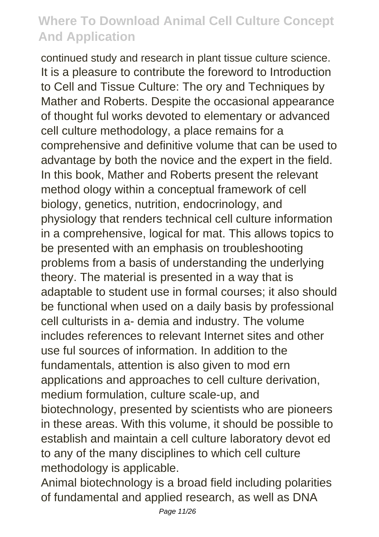continued study and research in plant tissue culture science. It is a pleasure to contribute the foreword to Introduction to Cell and Tissue Culture: The ory and Techniques by Mather and Roberts. Despite the occasional appearance of thought ful works devoted to elementary or advanced cell culture methodology, a place remains for a comprehensive and definitive volume that can be used to advantage by both the novice and the expert in the field. In this book, Mather and Roberts present the relevant method ology within a conceptual framework of cell biology, genetics, nutrition, endocrinology, and physiology that renders technical cell culture information in a comprehensive, logical for mat. This allows topics to be presented with an emphasis on troubleshooting problems from a basis of understanding the underlying theory. The material is presented in a way that is adaptable to student use in formal courses; it also should be functional when used on a daily basis by professional cell culturists in a- demia and industry. The volume includes references to relevant Internet sites and other use ful sources of information. In addition to the fundamentals, attention is also given to mod ern applications and approaches to cell culture derivation, medium formulation, culture scale-up, and biotechnology, presented by scientists who are pioneers in these areas. With this volume, it should be possible to establish and maintain a cell culture laboratory devot ed to any of the many disciplines to which cell culture methodology is applicable.

Animal biotechnology is a broad field including polarities of fundamental and applied research, as well as DNA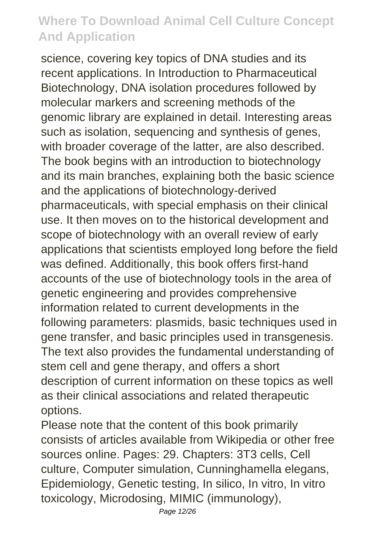science, covering key topics of DNA studies and its recent applications. In Introduction to Pharmaceutical Biotechnology, DNA isolation procedures followed by molecular markers and screening methods of the genomic library are explained in detail. Interesting areas such as isolation, sequencing and synthesis of genes, with broader coverage of the latter, are also described. The book begins with an introduction to biotechnology and its main branches, explaining both the basic science and the applications of biotechnology-derived pharmaceuticals, with special emphasis on their clinical use. It then moves on to the historical development and scope of biotechnology with an overall review of early applications that scientists employed long before the field was defined. Additionally, this book offers first-hand accounts of the use of biotechnology tools in the area of genetic engineering and provides comprehensive information related to current developments in the following parameters: plasmids, basic techniques used in gene transfer, and basic principles used in transgenesis. The text also provides the fundamental understanding of stem cell and gene therapy, and offers a short description of current information on these topics as well as their clinical associations and related therapeutic options.

Please note that the content of this book primarily consists of articles available from Wikipedia or other free sources online. Pages: 29. Chapters: 3T3 cells, Cell culture, Computer simulation, Cunninghamella elegans, Epidemiology, Genetic testing, In silico, In vitro, In vitro toxicology, Microdosing, MIMIC (immunology),

Page 12/26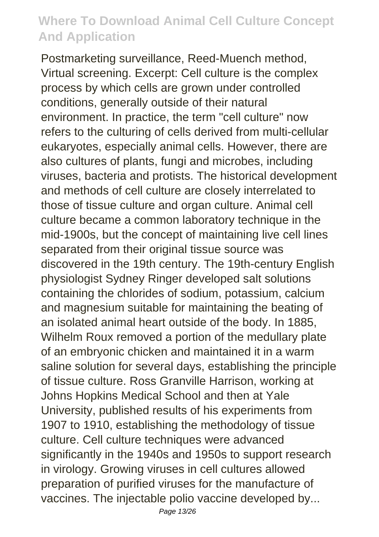Postmarketing surveillance, Reed-Muench method, Virtual screening. Excerpt: Cell culture is the complex process by which cells are grown under controlled conditions, generally outside of their natural environment. In practice, the term "cell culture" now refers to the culturing of cells derived from multi-cellular eukaryotes, especially animal cells. However, there are also cultures of plants, fungi and microbes, including viruses, bacteria and protists. The historical development and methods of cell culture are closely interrelated to those of tissue culture and organ culture. Animal cell culture became a common laboratory technique in the mid-1900s, but the concept of maintaining live cell lines separated from their original tissue source was discovered in the 19th century. The 19th-century English physiologist Sydney Ringer developed salt solutions containing the chlorides of sodium, potassium, calcium and magnesium suitable for maintaining the beating of an isolated animal heart outside of the body. In 1885, Wilhelm Roux removed a portion of the medullary plate of an embryonic chicken and maintained it in a warm saline solution for several days, establishing the principle of tissue culture. Ross Granville Harrison, working at Johns Hopkins Medical School and then at Yale University, published results of his experiments from 1907 to 1910, establishing the methodology of tissue culture. Cell culture techniques were advanced significantly in the 1940s and 1950s to support research in virology. Growing viruses in cell cultures allowed preparation of purified viruses for the manufacture of vaccines. The injectable polio vaccine developed by...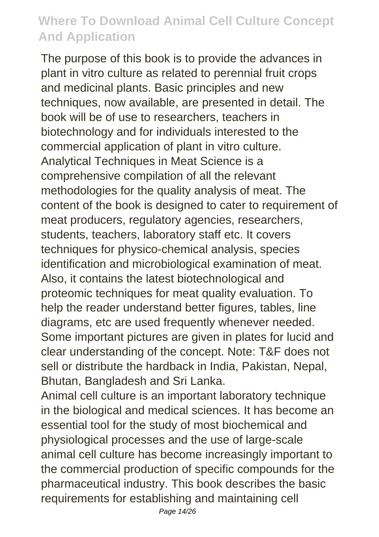The purpose of this book is to provide the advances in plant in vitro culture as related to perennial fruit crops and medicinal plants. Basic principles and new techniques, now available, are presented in detail. The book will be of use to researchers, teachers in biotechnology and for individuals interested to the commercial application of plant in vitro culture. Analytical Techniques in Meat Science is a comprehensive compilation of all the relevant methodologies for the quality analysis of meat. The content of the book is designed to cater to requirement of meat producers, regulatory agencies, researchers, students, teachers, laboratory staff etc. It covers techniques for physico-chemical analysis, species identification and microbiological examination of meat. Also, it contains the latest biotechnological and proteomic techniques for meat quality evaluation. To help the reader understand better figures, tables, line diagrams, etc are used frequently whenever needed. Some important pictures are given in plates for lucid and clear understanding of the concept. Note: T&F does not sell or distribute the hardback in India, Pakistan, Nepal, Bhutan, Bangladesh and Sri Lanka.

Animal cell culture is an important laboratory technique in the biological and medical sciences. It has become an essential tool for the study of most biochemical and physiological processes and the use of large-scale animal cell culture has become increasingly important to the commercial production of specific compounds for the pharmaceutical industry. This book describes the basic requirements for establishing and maintaining cell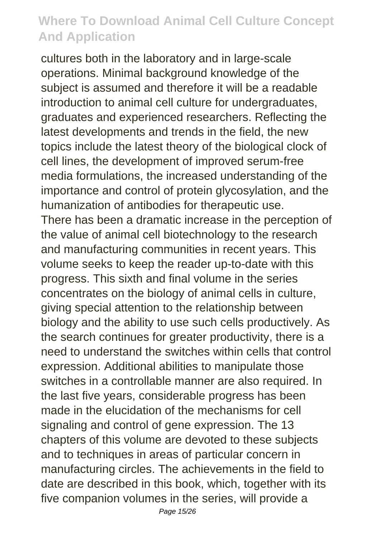cultures both in the laboratory and in large-scale operations. Minimal background knowledge of the subject is assumed and therefore it will be a readable introduction to animal cell culture for undergraduates, graduates and experienced researchers. Reflecting the latest developments and trends in the field, the new topics include the latest theory of the biological clock of cell lines, the development of improved serum-free media formulations, the increased understanding of the importance and control of protein glycosylation, and the humanization of antibodies for therapeutic use. There has been a dramatic increase in the perception of the value of animal cell biotechnology to the research and manufacturing communities in recent years. This volume seeks to keep the reader up-to-date with this progress. This sixth and final volume in the series concentrates on the biology of animal cells in culture, giving special attention to the relationship between biology and the ability to use such cells productively. As the search continues for greater productivity, there is a need to understand the switches within cells that control expression. Additional abilities to manipulate those switches in a controllable manner are also required. In the last five years, considerable progress has been made in the elucidation of the mechanisms for cell signaling and control of gene expression. The 13 chapters of this volume are devoted to these subjects and to techniques in areas of particular concern in manufacturing circles. The achievements in the field to date are described in this book, which, together with its five companion volumes in the series, will provide a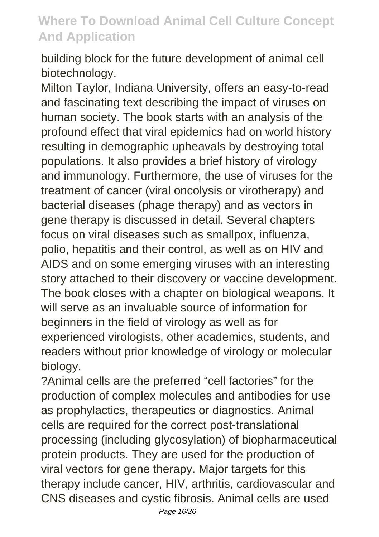building block for the future development of animal cell biotechnology.

Milton Taylor, Indiana University, offers an easy-to-read and fascinating text describing the impact of viruses on human society. The book starts with an analysis of the profound effect that viral epidemics had on world history resulting in demographic upheavals by destroying total populations. It also provides a brief history of virology and immunology. Furthermore, the use of viruses for the treatment of cancer (viral oncolysis or virotherapy) and bacterial diseases (phage therapy) and as vectors in gene therapy is discussed in detail. Several chapters focus on viral diseases such as smallpox, influenza, polio, hepatitis and their control, as well as on HIV and AIDS and on some emerging viruses with an interesting story attached to their discovery or vaccine development. The book closes with a chapter on biological weapons. It will serve as an invaluable source of information for beginners in the field of virology as well as for experienced virologists, other academics, students, and readers without prior knowledge of virology or molecular biology.

?Animal cells are the preferred "cell factories" for the production of complex molecules and antibodies for use as prophylactics, therapeutics or diagnostics. Animal cells are required for the correct post-translational processing (including glycosylation) of biopharmaceutical protein products. They are used for the production of viral vectors for gene therapy. Major targets for this therapy include cancer, HIV, arthritis, cardiovascular and CNS diseases and cystic fibrosis. Animal cells are used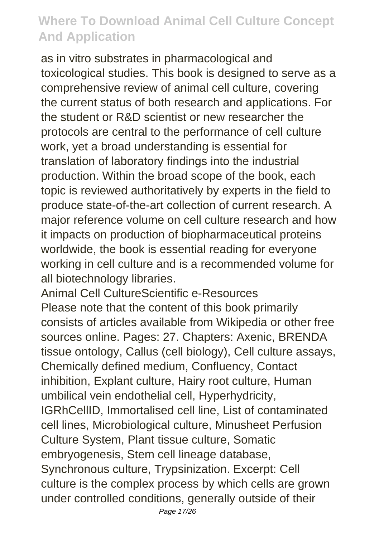as in vitro substrates in pharmacological and toxicological studies. This book is designed to serve as a comprehensive review of animal cell culture, covering the current status of both research and applications. For the student or R&D scientist or new researcher the protocols are central to the performance of cell culture work, yet a broad understanding is essential for translation of laboratory findings into the industrial production. Within the broad scope of the book, each topic is reviewed authoritatively by experts in the field to produce state-of-the-art collection of current research. A major reference volume on cell culture research and how it impacts on production of biopharmaceutical proteins worldwide, the book is essential reading for everyone working in cell culture and is a recommended volume for all biotechnology libraries.

Animal Cell CultureScientific e-Resources Please note that the content of this book primarily consists of articles available from Wikipedia or other free sources online. Pages: 27. Chapters: Axenic, BRENDA tissue ontology, Callus (cell biology), Cell culture assays, Chemically defined medium, Confluency, Contact inhibition, Explant culture, Hairy root culture, Human umbilical vein endothelial cell, Hyperhydricity, IGRhCellID, Immortalised cell line, List of contaminated cell lines, Microbiological culture, Minusheet Perfusion Culture System, Plant tissue culture, Somatic embryogenesis, Stem cell lineage database, Synchronous culture, Trypsinization. Excerpt: Cell culture is the complex process by which cells are grown under controlled conditions, generally outside of their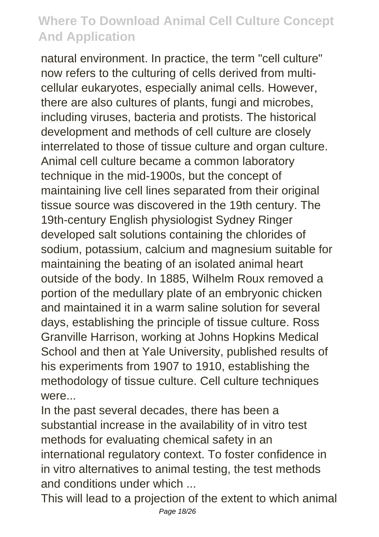natural environment. In practice, the term "cell culture" now refers to the culturing of cells derived from multicellular eukaryotes, especially animal cells. However, there are also cultures of plants, fungi and microbes, including viruses, bacteria and protists. The historical development and methods of cell culture are closely interrelated to those of tissue culture and organ culture. Animal cell culture became a common laboratory technique in the mid-1900s, but the concept of maintaining live cell lines separated from their original tissue source was discovered in the 19th century. The 19th-century English physiologist Sydney Ringer developed salt solutions containing the chlorides of sodium, potassium, calcium and magnesium suitable for maintaining the beating of an isolated animal heart outside of the body. In 1885, Wilhelm Roux removed a portion of the medullary plate of an embryonic chicken and maintained it in a warm saline solution for several days, establishing the principle of tissue culture. Ross Granville Harrison, working at Johns Hopkins Medical School and then at Yale University, published results of his experiments from 1907 to 1910, establishing the methodology of tissue culture. Cell culture techniques were...

In the past several decades, there has been a substantial increase in the availability of in vitro test methods for evaluating chemical safety in an international regulatory context. To foster confidence in in vitro alternatives to animal testing, the test methods and conditions under which

This will lead to a projection of the extent to which animal Page 18/26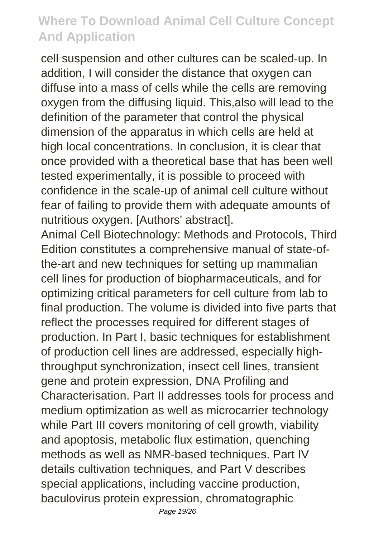cell suspension and other cultures can be scaled-up. In addition. I will consider the distance that oxygen can diffuse into a mass of cells while the cells are removing oxygen from the diffusing liquid. This,also will lead to the definition of the parameter that control the physical dimension of the apparatus in which cells are held at high local concentrations. In conclusion, it is clear that once provided with a theoretical base that has been well tested experimentally, it is possible to proceed with confidence in the scale-up of animal cell culture without fear of failing to provide them with adequate amounts of nutritious oxygen. [Authors' abstract].

Animal Cell Biotechnology: Methods and Protocols, Third Edition constitutes a comprehensive manual of state-ofthe-art and new techniques for setting up mammalian cell lines for production of biopharmaceuticals, and for optimizing critical parameters for cell culture from lab to final production. The volume is divided into five parts that reflect the processes required for different stages of production. In Part I, basic techniques for establishment of production cell lines are addressed, especially highthroughput synchronization, insect cell lines, transient gene and protein expression, DNA Profiling and Characterisation. Part II addresses tools for process and medium optimization as well as microcarrier technology while Part III covers monitoring of cell growth, viability and apoptosis, metabolic flux estimation, quenching methods as well as NMR-based techniques. Part IV details cultivation techniques, and Part V describes special applications, including vaccine production, baculovirus protein expression, chromatographic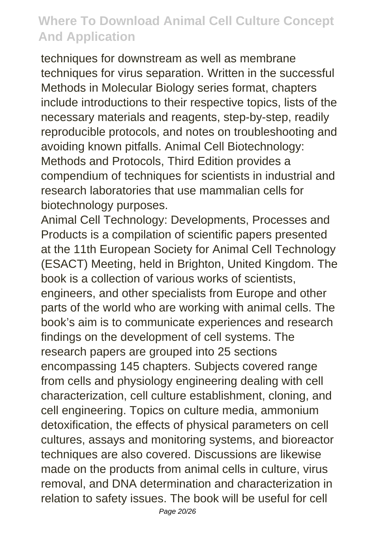techniques for downstream as well as membrane techniques for virus separation. Written in the successful Methods in Molecular Biology series format, chapters include introductions to their respective topics, lists of the necessary materials and reagents, step-by-step, readily reproducible protocols, and notes on troubleshooting and avoiding known pitfalls. Animal Cell Biotechnology: Methods and Protocols, Third Edition provides a compendium of techniques for scientists in industrial and research laboratories that use mammalian cells for biotechnology purposes.

Animal Cell Technology: Developments, Processes and Products is a compilation of scientific papers presented at the 11th European Society for Animal Cell Technology (ESACT) Meeting, held in Brighton, United Kingdom. The book is a collection of various works of scientists, engineers, and other specialists from Europe and other parts of the world who are working with animal cells. The book's aim is to communicate experiences and research findings on the development of cell systems. The research papers are grouped into 25 sections encompassing 145 chapters. Subjects covered range from cells and physiology engineering dealing with cell characterization, cell culture establishment, cloning, and cell engineering. Topics on culture media, ammonium detoxification, the effects of physical parameters on cell cultures, assays and monitoring systems, and bioreactor techniques are also covered. Discussions are likewise made on the products from animal cells in culture, virus removal, and DNA determination and characterization in relation to safety issues. The book will be useful for cell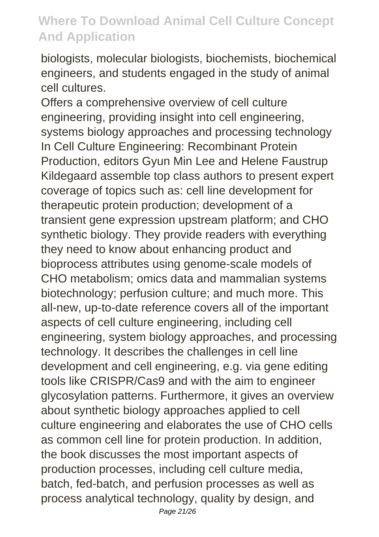biologists, molecular biologists, biochemists, biochemical engineers, and students engaged in the study of animal cell cultures.

Offers a comprehensive overview of cell culture engineering, providing insight into cell engineering, systems biology approaches and processing technology In Cell Culture Engineering: Recombinant Protein Production, editors Gyun Min Lee and Helene Faustrup Kildegaard assemble top class authors to present expert coverage of topics such as: cell line development for therapeutic protein production; development of a transient gene expression upstream platform; and CHO synthetic biology. They provide readers with everything they need to know about enhancing product and bioprocess attributes using genome-scale models of CHO metabolism; omics data and mammalian systems biotechnology; perfusion culture; and much more. This all-new, up-to-date reference covers all of the important aspects of cell culture engineering, including cell engineering, system biology approaches, and processing technology. It describes the challenges in cell line development and cell engineering, e.g. via gene editing tools like CRISPR/Cas9 and with the aim to engineer glycosylation patterns. Furthermore, it gives an overview about synthetic biology approaches applied to cell culture engineering and elaborates the use of CHO cells as common cell line for protein production. In addition, the book discusses the most important aspects of production processes, including cell culture media, batch, fed-batch, and perfusion processes as well as process analytical technology, quality by design, and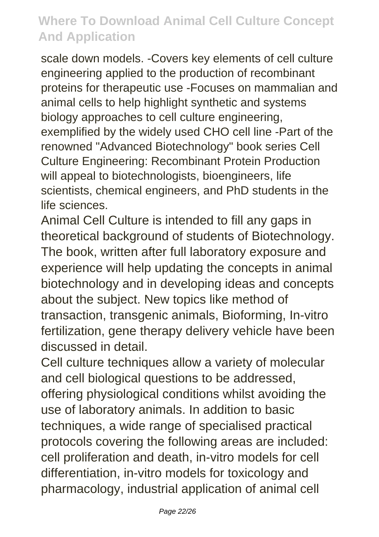scale down models. -Covers key elements of cell culture engineering applied to the production of recombinant proteins for therapeutic use -Focuses on mammalian and animal cells to help highlight synthetic and systems biology approaches to cell culture engineering, exemplified by the widely used CHO cell line -Part of the renowned "Advanced Biotechnology" book series Cell Culture Engineering: Recombinant Protein Production will appeal to biotechnologists, bioengineers, life scientists, chemical engineers, and PhD students in the life sciences.

Animal Cell Culture is intended to fill any gaps in theoretical background of students of Biotechnology. The book, written after full laboratory exposure and experience will help updating the concepts in animal biotechnology and in developing ideas and concepts about the subject. New topics like method of transaction, transgenic animals, Bioforming, In-vitro fertilization, gene therapy delivery vehicle have been discussed in detail.

Cell culture techniques allow a variety of molecular and cell biological questions to be addressed, offering physiological conditions whilst avoiding the use of laboratory animals. In addition to basic techniques, a wide range of specialised practical protocols covering the following areas are included: cell proliferation and death, in-vitro models for cell differentiation, in-vitro models for toxicology and pharmacology, industrial application of animal cell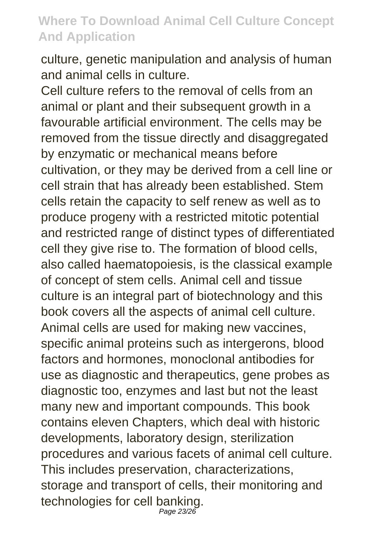culture, genetic manipulation and analysis of human and animal cells in culture.

Cell culture refers to the removal of cells from an animal or plant and their subsequent growth in a favourable artificial environment. The cells may be removed from the tissue directly and disaggregated by enzymatic or mechanical means before cultivation, or they may be derived from a cell line or cell strain that has already been established. Stem cells retain the capacity to self renew as well as to produce progeny with a restricted mitotic potential and restricted range of distinct types of differentiated cell they give rise to. The formation of blood cells, also called haematopoiesis, is the classical example of concept of stem cells. Animal cell and tissue culture is an integral part of biotechnology and this book covers all the aspects of animal cell culture. Animal cells are used for making new vaccines, specific animal proteins such as intergerons, blood factors and hormones, monoclonal antibodies for use as diagnostic and therapeutics, gene probes as diagnostic too, enzymes and last but not the least many new and important compounds. This book contains eleven Chapters, which deal with historic developments, laboratory design, sterilization procedures and various facets of animal cell culture. This includes preservation, characterizations, storage and transport of cells, their monitoring and technologies for cell banking. Page 23/26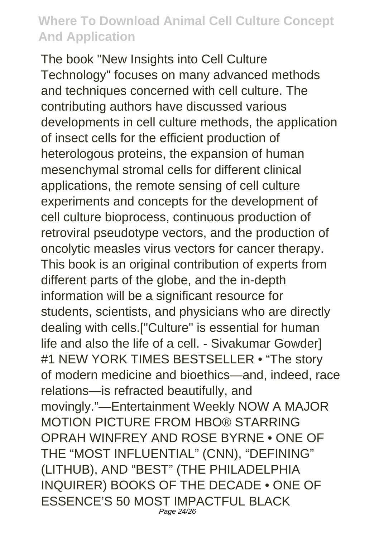The book "New Insights into Cell Culture Technology" focuses on many advanced methods and techniques concerned with cell culture. The contributing authors have discussed various developments in cell culture methods, the application of insect cells for the efficient production of heterologous proteins, the expansion of human mesenchymal stromal cells for different clinical applications, the remote sensing of cell culture experiments and concepts for the development of cell culture bioprocess, continuous production of retroviral pseudotype vectors, and the production of oncolytic measles virus vectors for cancer therapy. This book is an original contribution of experts from different parts of the globe, and the in-depth information will be a significant resource for students, scientists, and physicians who are directly dealing with cells.["Culture" is essential for human life and also the life of a cell. - Sivakumar Gowder] #1 NEW YORK TIMES BESTSELLER • "The story of modern medicine and bioethics—and, indeed, race relations—is refracted beautifully, and movingly."—Entertainment Weekly NOW A MAJOR MOTION PICTURE FROM HBO® STARRING OPRAH WINFREY AND ROSE BYRNE • ONE OF THE "MOST INFLUENTIAL" (CNN), "DEFINING" (LITHUB), AND "BEST" (THE PHILADELPHIA INQUIRER) BOOKS OF THE DECADE • ONE OF ESSENCE'S 50 MOST IMPACTFUL BLACK Page 24/26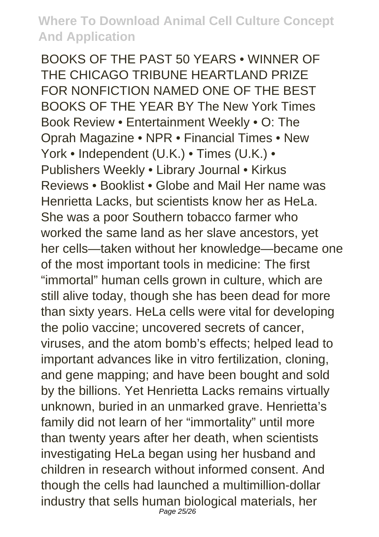BOOKS OF THE PAST 50 YEARS • WINNER OF THE CHICAGO TRIBUNE HEARTLAND PRIZE FOR NONFICTION NAMED ONE OF THE BEST BOOKS OF THE YEAR BY The New York Times Book Review • Entertainment Weekly • O: The Oprah Magazine • NPR • Financial Times • New York • Independent (U.K.) • Times (U.K.) • Publishers Weekly • Library Journal • Kirkus Reviews • Booklist • Globe and Mail Her name was Henrietta Lacks, but scientists know her as HeLa. She was a poor Southern tobacco farmer who worked the same land as her slave ancestors, yet her cells—taken without her knowledge—became one of the most important tools in medicine: The first "immortal" human cells grown in culture, which are still alive today, though she has been dead for more than sixty years. HeLa cells were vital for developing the polio vaccine; uncovered secrets of cancer, viruses, and the atom bomb's effects; helped lead to important advances like in vitro fertilization, cloning, and gene mapping; and have been bought and sold by the billions. Yet Henrietta Lacks remains virtually unknown, buried in an unmarked grave. Henrietta's family did not learn of her "immortality" until more than twenty years after her death, when scientists investigating HeLa began using her husband and children in research without informed consent. And though the cells had launched a multimillion-dollar industry that sells human biological materials, her Page 25/26